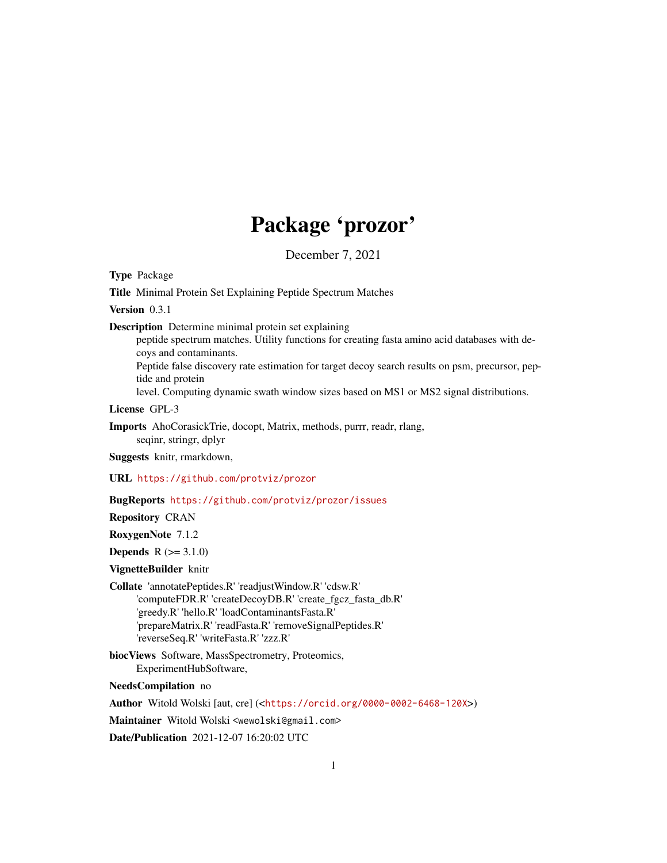# Package 'prozor'

December 7, 2021

Type Package

Title Minimal Protein Set Explaining Peptide Spectrum Matches

Version 0.3.1

Description Determine minimal protein set explaining

peptide spectrum matches. Utility functions for creating fasta amino acid databases with decoys and contaminants.

Peptide false discovery rate estimation for target decoy search results on psm, precursor, peptide and protein

level. Computing dynamic swath window sizes based on MS1 or MS2 signal distributions.

License GPL-3

Imports AhoCorasickTrie, docopt, Matrix, methods, purrr, readr, rlang, seqinr, stringr, dplyr

Suggests knitr, rmarkdown,

URL <https://github.com/protviz/prozor>

#### BugReports <https://github.com/protviz/prozor/issues>

Repository CRAN

RoxygenNote 7.1.2

**Depends**  $R (= 3.1.0)$ 

#### VignetteBuilder knitr

Collate 'annotatePeptides.R' 'readjustWindow.R' 'cdsw.R' 'computeFDR.R' 'createDecoyDB.R' 'create\_fgcz\_fasta\_db.R' 'greedy.R' 'hello.R' 'loadContaminantsFasta.R' 'prepareMatrix.R' 'readFasta.R' 'removeSignalPeptides.R' 'reverseSeq.R' 'writeFasta.R' 'zzz.R'

biocViews Software, MassSpectrometry, Proteomics, ExperimentHubSoftware,

NeedsCompilation no

Author Witold Wolski [aut, cre] (<<https://orcid.org/0000-0002-6468-120X>>)

Maintainer Witold Wolski <wewolski@gmail.com>

Date/Publication 2021-12-07 16:20:02 UTC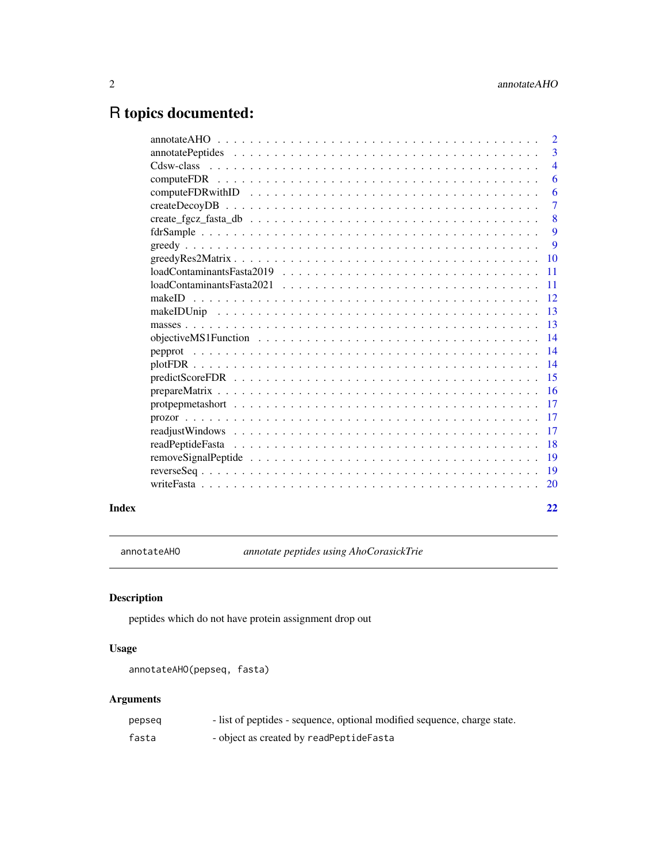## <span id="page-1-0"></span>R topics documented:

|       |                                                                                                                               | $\overline{2}$ |
|-------|-------------------------------------------------------------------------------------------------------------------------------|----------------|
|       |                                                                                                                               |                |
|       |                                                                                                                               | $\overline{4}$ |
|       |                                                                                                                               | 6              |
|       |                                                                                                                               | 6              |
|       |                                                                                                                               | $\overline{7}$ |
|       |                                                                                                                               | 8              |
|       |                                                                                                                               | $\overline{9}$ |
|       |                                                                                                                               | 9              |
|       |                                                                                                                               |                |
|       | $loadConstantinantsFasta2019 \ldots \ldots \ldots \ldots \ldots \ldots \ldots \ldots \ldots \ldots \ldots$<br>$\overline{11}$ |                |
|       |                                                                                                                               |                |
|       |                                                                                                                               |                |
|       |                                                                                                                               |                |
|       |                                                                                                                               |                |
|       |                                                                                                                               |                |
|       |                                                                                                                               |                |
|       |                                                                                                                               |                |
|       |                                                                                                                               |                |
|       |                                                                                                                               |                |
|       |                                                                                                                               |                |
|       |                                                                                                                               |                |
|       |                                                                                                                               |                |
|       | <sup>18</sup>                                                                                                                 |                |
|       |                                                                                                                               |                |
|       |                                                                                                                               |                |
|       |                                                                                                                               |                |
| Index |                                                                                                                               | 22             |

annotateAHO *annotate peptides using AhoCorasickTrie*

### Description

peptides which do not have protein assignment drop out

#### Usage

annotateAHO(pepseq, fasta)

### Arguments

| pepseq | - list of peptides - sequence, optional modified sequence, charge state. |
|--------|--------------------------------------------------------------------------|
| fasta  | - object as created by readPeptideFasta                                  |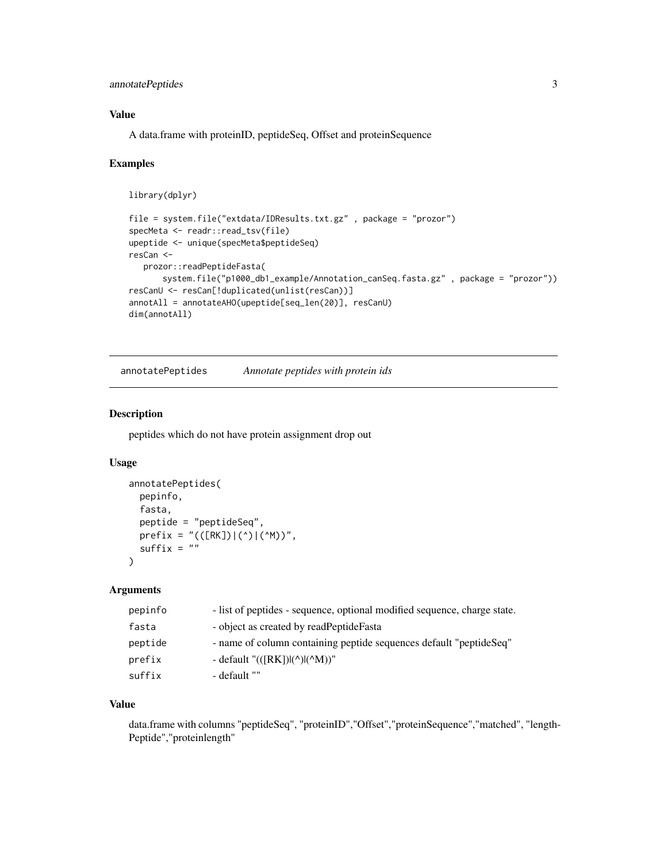#### <span id="page-2-0"></span>annotatePeptides 3

#### Value

A data.frame with proteinID, peptideSeq, Offset and proteinSequence

#### Examples

```
library(dplyr)
file = system.file("extdata/IDResults.txt.gz" , package = "prozor")
specMeta <- readr::read_tsv(file)
upeptide <- unique(specMeta$peptideSeq)
resCan <-
  prozor::readPeptideFasta(
      system.file("p1000_db1_example/Annotation_canSeq.fasta.gz" , package = "prozor"))
resCanU <- resCan[!duplicated(unlist(resCan))]
annotAll = annotateAHO(upeptide[seq_len(20)], resCanU)
dim(annotAll)
```
annotatePeptides *Annotate peptides with protein ids*

#### Description

peptides which do not have protein assignment drop out

#### Usage

```
annotatePeptides(
  pepinfo,
  fasta,
 peptide = "peptideSeq",
 prefix = "(([RK])|(')|('M))",suffix = ""\lambda
```
#### Arguments

| pepinfo | - list of peptides - sequence, optional modified sequence, charge state. |
|---------|--------------------------------------------------------------------------|
| fasta   | - object as created by readPeptideFasta                                  |
| peptide | - name of column containing peptide sequences default "peptideSeq"       |
| prefix  | - default "(([RK]) (^) (^M))"                                            |
| suffix  | - default ""                                                             |

#### Value

data.frame with columns "peptideSeq", "proteinID","Offset","proteinSequence","matched", "length-Peptide","proteinlength"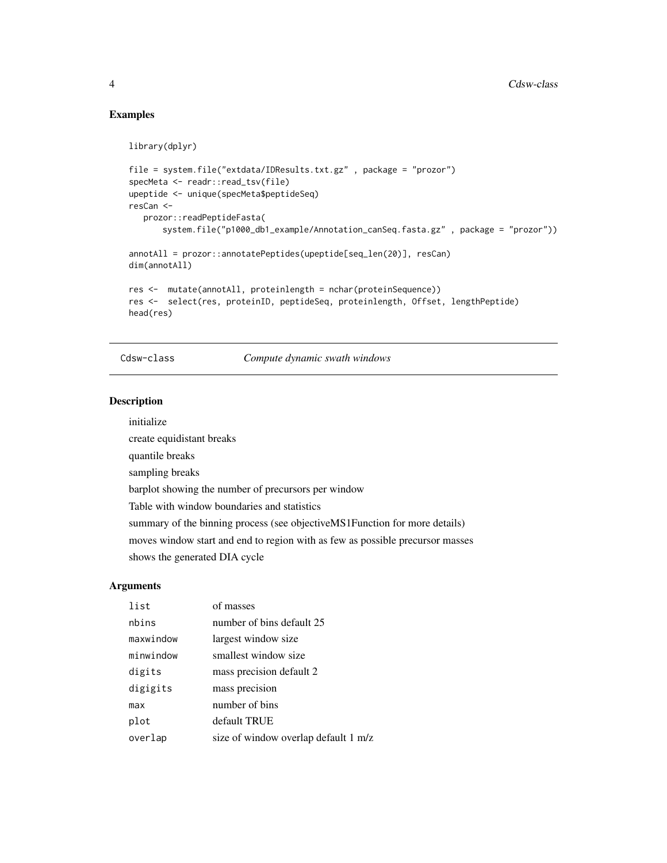#### Examples

```
library(dplyr)
file = system.file("extdata/IDResults.txt.gz" , package = "prozor")
specMeta <- readr::read_tsv(file)
```

```
upeptide <- unique(specMeta$peptideSeq)
resCan <-
  prozor::readPeptideFasta(
       system.file("p1000_db1_example/Annotation_canSeq.fasta.gz" , package = "prozor"))
annotAll = prozor::annotatePeptides(upeptide[seq_len(20)], resCan)
dim(annotAll)
res <- mutate(annotAll, proteinlength = nchar(proteinSequence))
res <- select(res, proteinID, peptideSeq, proteinlength, Offset, lengthPeptide)
head(res)
```
Cdsw-class *Compute dynamic swath windows*

#### Description

initialize

create equidistant breaks quantile breaks sampling breaks barplot showing the number of precursors per window Table with window boundaries and statistics summary of the binning process (see objectiveMS1Function for more details) moves window start and end to region with as few as possible precursor masses shows the generated DIA cycle

#### Arguments

| list      | of masses                            |
|-----------|--------------------------------------|
| nbins     | number of bins default 25            |
| maxwindow | largest window size                  |
| minwindow | smallest window size                 |
| digits    | mass precision default 2             |
| digigits  | mass precision                       |
| max       | number of bins                       |
| plot      | default TRUE                         |
| overlap   | size of window overlap default 1 m/z |

<span id="page-3-0"></span>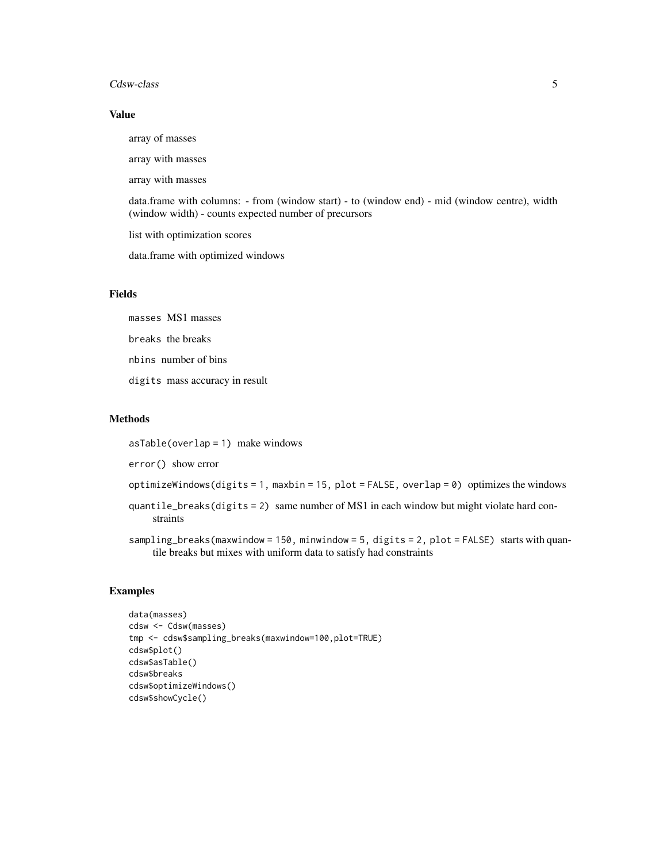#### Cdsw-class 5

#### Value

array of masses array with masses array with masses data.frame with columns: - from (window start) - to (window end) - mid (window centre), width (window width) - counts expected number of precursors list with optimization scores data.frame with optimized windows

#### Fields

masses MS1 masses breaks the breaks nbins number of bins

digits mass accuracy in result

#### Methods

asTable(overlap = 1) make windows

error() show error

optimizeWindows(digits = 1, maxbin = 15, plot = FALSE, overlap = 0) optimizes the windows

quantile\_breaks(digits = 2) same number of MS1 in each window but might violate hard constraints

sampling\_breaks(maxwindow = 150, minwindow = 5, digits = 2, plot = FALSE) starts with quantile breaks but mixes with uniform data to satisfy had constraints

```
data(masses)
cdsw <- Cdsw(masses)
tmp <- cdsw$sampling_breaks(maxwindow=100,plot=TRUE)
cdsw$plot()
cdsw$asTable()
cdsw$breaks
cdsw$optimizeWindows()
cdsw$showCycle()
```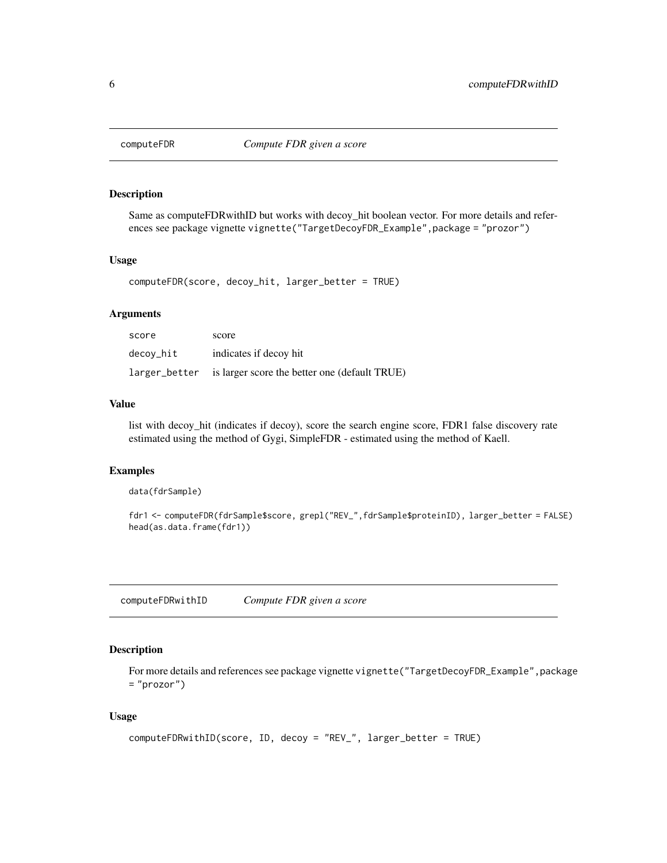<span id="page-5-0"></span>

#### Description

Same as computeFDRwithID but works with decoy\_hit boolean vector. For more details and references see package vignette vignette("TargetDecoyFDR\_Example",package = "prozor")

#### Usage

computeFDR(score, decoy\_hit, larger\_better = TRUE)

#### Arguments

| score     | score                                                       |
|-----------|-------------------------------------------------------------|
| decoy_hit | indicates if decoy hit                                      |
|           | larger_better is larger score the better one (default TRUE) |

#### Value

list with decoy\_hit (indicates if decoy), score the search engine score, FDR1 false discovery rate estimated using the method of Gygi, SimpleFDR - estimated using the method of Kaell.

#### Examples

```
data(fdrSample)
```

```
fdr1 <- computeFDR(fdrSample$score, grepl("REV_",fdrSample$proteinID), larger_better = FALSE)
head(as.data.frame(fdr1))
```
computeFDRwithID *Compute FDR given a score*

#### Description

For more details and references see package vignette vignette ("TargetDecoyFDR\_Example", package  $=$  "prozor")

#### Usage

```
computeFDRwithID(score, ID, decoy = "REV_", larger_better = TRUE)
```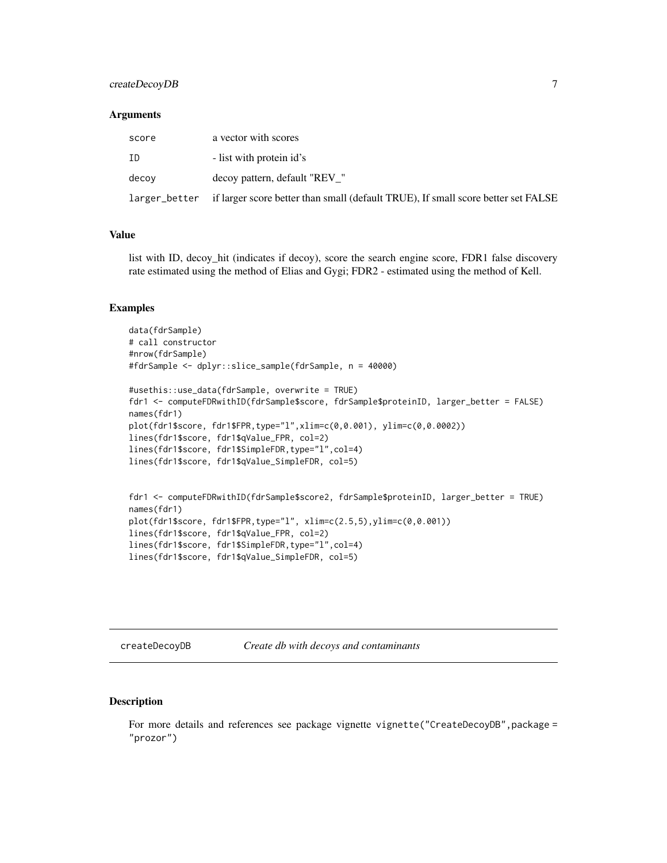#### <span id="page-6-0"></span>createDecoyDB 7

#### **Arguments**

| score | a vector with scores                                                                            |
|-------|-------------------------------------------------------------------------------------------------|
| ΙD    | - list with protein id's                                                                        |
| decov | decoy pattern, default "REV"                                                                    |
|       | larger_better if larger score better than small (default TRUE), If small score better set FALSE |

#### Value

list with ID, decoy\_hit (indicates if decoy), score the search engine score, FDR1 false discovery rate estimated using the method of Elias and Gygi; FDR2 - estimated using the method of Kell.

#### Examples

```
data(fdrSample)
# call constructor
#nrow(fdrSample)
#fdrSample <- dplyr::slice_sample(fdrSample, n = 40000)
#usethis::use_data(fdrSample, overwrite = TRUE)
fdr1 <- computeFDRwithID(fdrSample$score, fdrSample$proteinID, larger_better = FALSE)
names(fdr1)
plot(fdr1$score, fdr1$FPR,type="l",xlim=c(0,0.001), ylim=c(0,0.0002))
lines(fdr1$score, fdr1$qValue_FPR, col=2)
lines(fdr1$score, fdr1$SimpleFDR,type="l",col=4)
lines(fdr1$score, fdr1$qValue_SimpleFDR, col=5)
fdr1 <- computeFDRwithID(fdrSample$score2, fdrSample$proteinID, larger_better = TRUE)
names(fdr1)
plot(fdr1$score, fdr1$FPR,type="l", xlim=c(2.5,5),ylim=c(0,0.001))
lines(fdr1$score, fdr1$qValue_FPR, col=2)
lines(fdr1$score, fdr1$SimpleFDR,type="l",col=4)
lines(fdr1$score, fdr1$qValue_SimpleFDR, col=5)
```
createDecoyDB *Create db with decoys and contaminants*

#### Description

For more details and references see package vignette vignette("CreateDecoyDB", package = "prozor")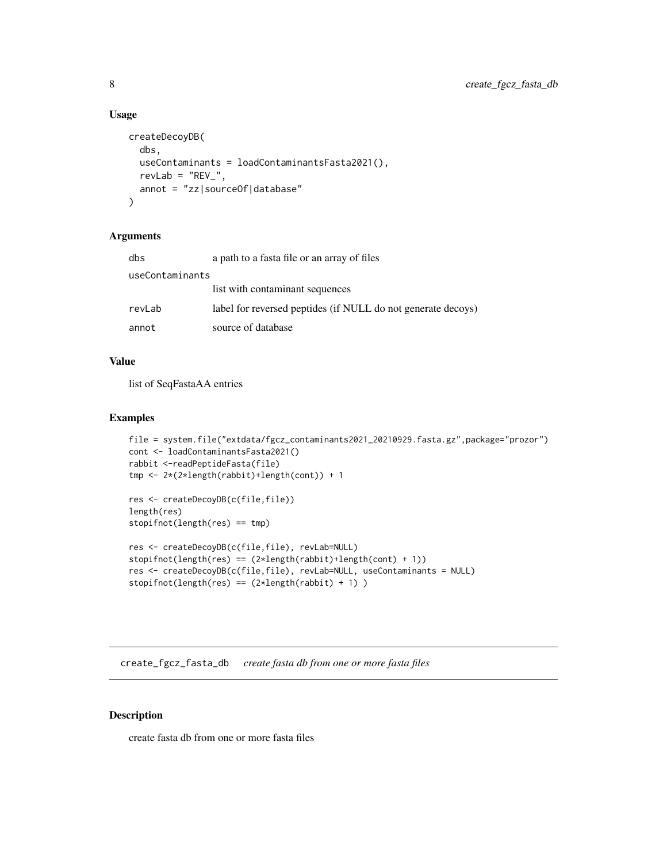#### Usage

```
createDecoyDB(
  dbs,
  useContaminants = loadContaminantsFasta2021(),
  revLab = "REV",
  annot = "zz|sourceOf|database"
\lambda
```
#### Arguments

| dbs             | a path to a fasta file or an array of files                  |  |
|-----------------|--------------------------------------------------------------|--|
| useContaminants |                                                              |  |
|                 | list with contaminant sequences                              |  |
| revLab          | label for reversed peptides (if NULL do not generate decoys) |  |
| annot           | source of database                                           |  |

#### Value

list of SeqFastaAA entries

#### Examples

```
file = system.file("extdata/fgcz_contaminants2021_20210929.fasta.gz",package="prozor")
cont <- loadContaminantsFasta2021()
rabbit <-readPeptideFasta(file)
tmp <- 2*(2*length(rabbit)+length(cont)) + 1
res <- createDecoyDB(c(file,file))
length(res)
```

```
stopifnot(length(res) == tmp)
```

```
res <- createDecoyDB(c(file,file), revLab=NULL)
stopifnot(length(res) == (2*length(rabbit)+length(cont) + 1))
res <- createDecoyDB(c(file,file), revLab=NULL, useContaminants = NULL)
stopifnot(length(res) == (2*length(rabbit) + 1))
```
create\_fgcz\_fasta\_db *create fasta db from one or more fasta files*

#### Description

create fasta db from one or more fasta files

<span id="page-7-0"></span>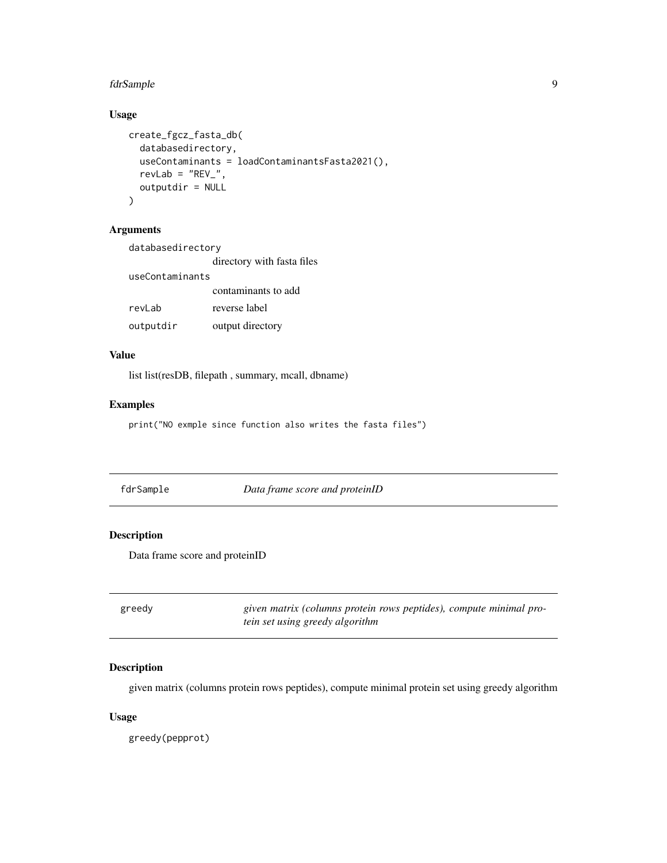#### <span id="page-8-0"></span>fdrSample 9

#### Usage

```
create_fgcz_fasta_db(
 databasedirectory,
 useContaminants = loadContaminantsFasta2021(),
 revLab = "REV",
 outputdir = NULL
)
```
#### Arguments

| databasedirectory |                            |
|-------------------|----------------------------|
|                   | directory with fasta files |
| useContaminants   |                            |
|                   | contaminants to add        |
| revLab            | reverse label              |
| outputdir         | output directory           |

#### Value

list list(resDB, filepath , summary, mcall, dbname)

#### Examples

print("NO exmple since function also writes the fasta files")

| fdrSample | Data frame score and proteinID |  |
|-----------|--------------------------------|--|
|           |                                |  |

#### Description

Data frame score and proteinID

| greedy | given matrix (columns protein rows peptides), compute minimal pro- |
|--------|--------------------------------------------------------------------|
|        | tein set using greedy algorithm                                    |

#### Description

given matrix (columns protein rows peptides), compute minimal protein set using greedy algorithm

#### Usage

greedy(pepprot)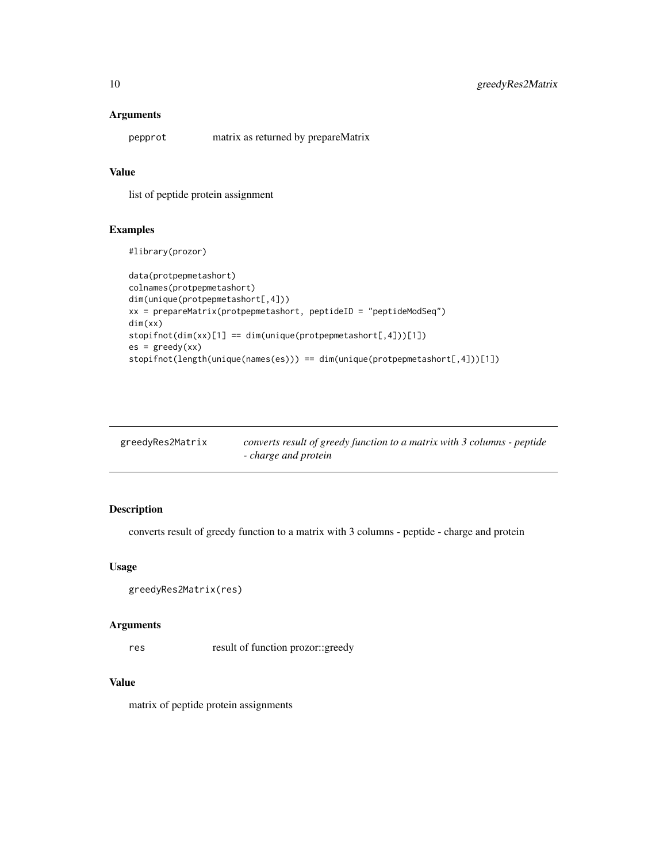#### <span id="page-9-0"></span>Arguments

pepprot matrix as returned by prepareMatrix

#### Value

list of peptide protein assignment

#### Examples

#library(prozor)

```
data(protpepmetashort)
colnames(protpepmetashort)
dim(unique(protpepmetashort[,4]))
xx = prepareMatrix(protpepmetashort, peptideID = "peptideModSeq")
dim(xx)
stopifnot(dim(xx)[1] == dim(unique(protpepmetashort[,4]))[1])
es = greedy(xx)stopifnot(length(unique(names(es))) == dim(unique(protpepmetashort[,4]))[1])
```

| greedyRes2Matrix | converts result of greedy function to a matrix with 3 columns - peptide |
|------------------|-------------------------------------------------------------------------|
|                  | - charge and protein                                                    |

#### Description

converts result of greedy function to a matrix with 3 columns - peptide - charge and protein

#### Usage

```
greedyRes2Matrix(res)
```
#### Arguments

res result of function prozor::greedy

#### Value

matrix of peptide protein assignments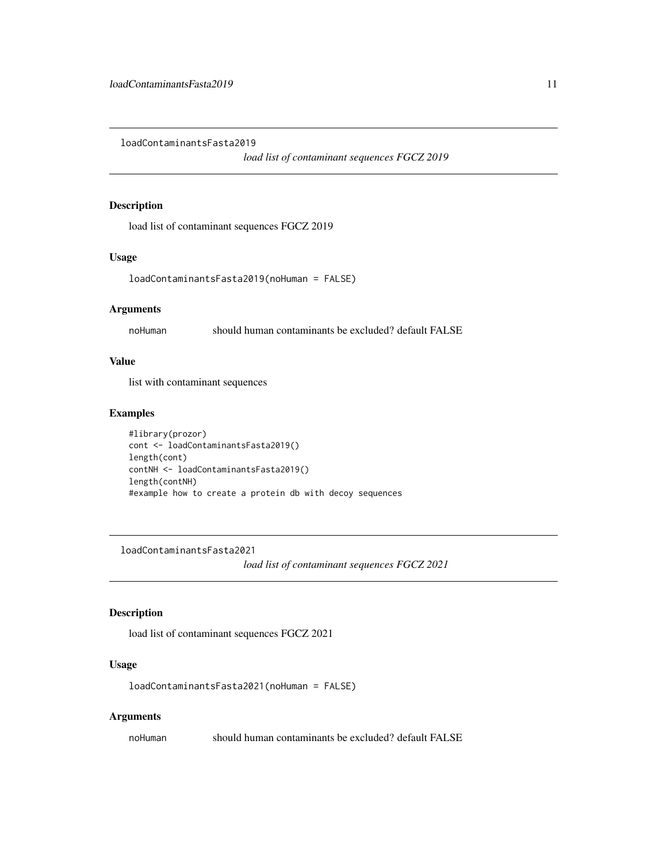<span id="page-10-0"></span>loadContaminantsFasta2019

*load list of contaminant sequences FGCZ 2019*

#### Description

load list of contaminant sequences FGCZ 2019

#### Usage

```
loadContaminantsFasta2019(noHuman = FALSE)
```
#### Arguments

noHuman should human contaminants be excluded? default FALSE

#### Value

list with contaminant sequences

#### Examples

```
#library(prozor)
cont <- loadContaminantsFasta2019()
length(cont)
contNH <- loadContaminantsFasta2019()
length(contNH)
#example how to create a protein db with decoy sequences
```
loadContaminantsFasta2021

*load list of contaminant sequences FGCZ 2021*

#### Description

load list of contaminant sequences FGCZ 2021

#### Usage

loadContaminantsFasta2021(noHuman = FALSE)

#### Arguments

noHuman should human contaminants be excluded? default FALSE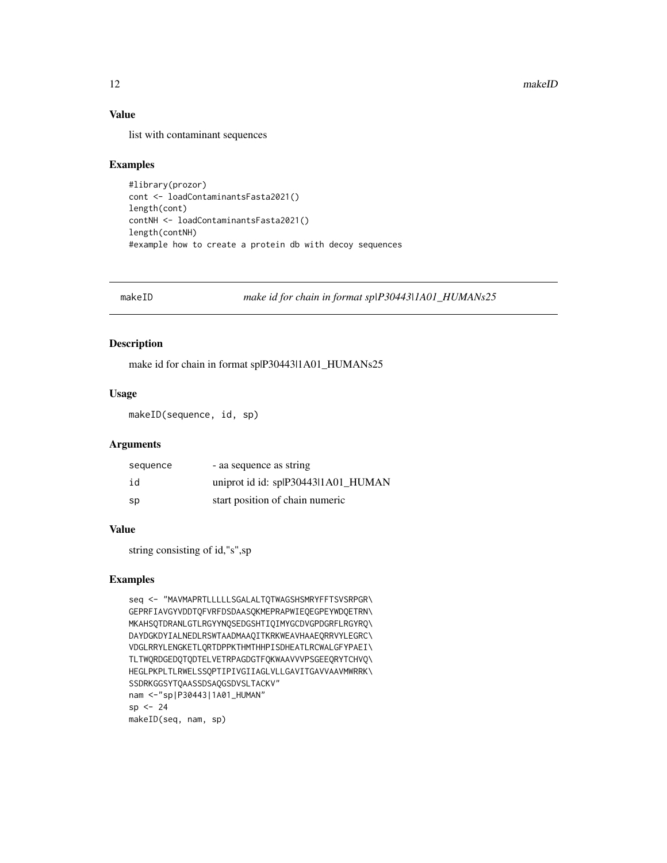#### Value

list with contaminant sequences

#### Examples

#library(prozor) cont <- loadContaminantsFasta2021() length(cont) contNH <- loadContaminantsFasta2021() length(contNH) #example how to create a protein db with decoy sequences

makeID *make id for chain in format sp|P30443|1A01\_HUMANs25*

#### Description

make id for chain in format sp|P30443|1A01\_HUMANs25

#### Usage

makeID(sequence, id, sp)

#### Arguments

| sequence | - aa sequence as string             |
|----------|-------------------------------------|
| id       | uniprot id id: splP30443l1A01_HUMAN |
| sp       | start position of chain numeric     |

#### Value

string consisting of id,"s",sp

```
seq <- "MAVMAPRTLLLLLSGALALTQTWAGSHSMRYFFTSVSRPGR\
GEPRFIAVGYVDDTQFVRFDSDAASQKMEPRAPWIEQEGPEYWDQETRN\
MKAHSQTDRANLGTLRGYYNQSEDGSHTIQIMYGCDVGPDGRFLRGYRQ\
DAYDGKDYIALNEDLRSWTAADMAAQITKRKWEAVHAAEQRRVYLEGRC\
VDGLRRYLENGKETLQRTDPPKTHMTHHPISDHEATLRCWALGFYPAEI\
TLTWQRDGEDQTQDTELVETRPAGDGTFQKWAAVVVPSGEEQRYTCHVQ\
HEGLPKPLTLRWELSSQPTIPIVGIIAGLVLLGAVITGAVVAAVMWRRK\
SSDRKGGSYTQAASSDSAQGSDVSLTACKV"
nam <-"sp|P30443|1A01_HUMAN"
sp < -24makeID(seq, nam, sp)
```
<span id="page-11-0"></span>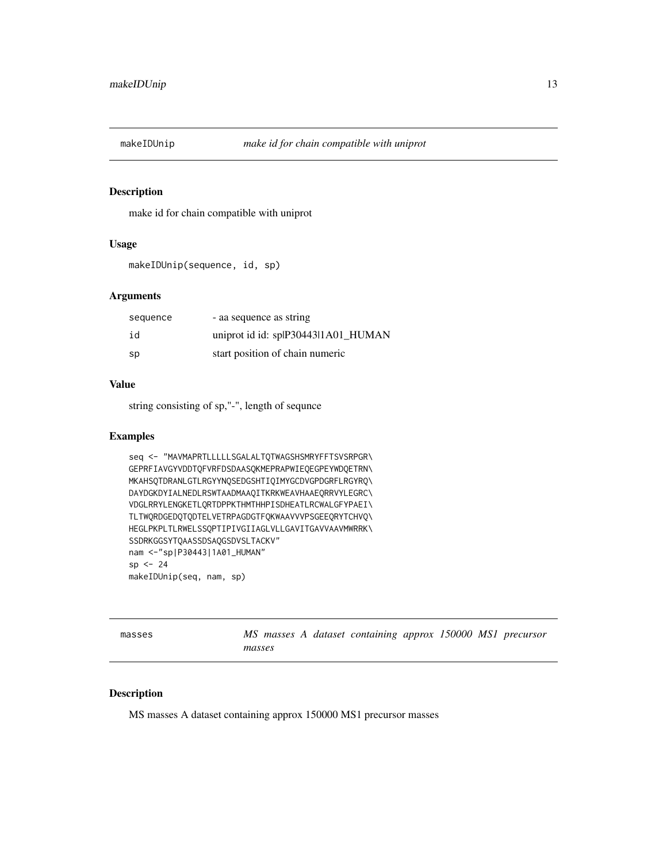<span id="page-12-0"></span>

#### Description

make id for chain compatible with uniprot

#### Usage

```
makeIDUnip(sequence, id, sp)
```
#### Arguments

| sequence | - aa sequence as string             |
|----------|-------------------------------------|
| id       | uniprot id id: splP30443l1A01_HUMAN |
| sp       | start position of chain numeric     |

#### Value

string consisting of sp,"-", length of sequnce

#### Examples

```
seq <- "MAVMAPRTLLLLLSGALALTQTWAGSHSMRYFFTSVSRPGR\
GEPRFIAVGYVDDTQFVRFDSDAASQKMEPRAPWIEQEGPEYWDQETRN\
MKAHSQTDRANLGTLRGYYNQSEDGSHTIQIMYGCDVGPDGRFLRGYRQ\
DAYDGKDYIALNEDLRSWTAADMAAQITKRKWEAVHAAEQRRVYLEGRC\
VDGLRRYLENGKETLQRTDPPKTHMTHHPISDHEATLRCWALGFYPAEI\
TLTWQRDGEDQTQDTELVETRPAGDGTFQKWAAVVVPSGEEQRYTCHVQ\
HEGLPKPLTLRWELSSQPTIPIVGIIAGLVLLGAVITGAVVAAVMWRRK\
SSDRKGGSYTQAASSDSAQGSDVSLTACKV"
nam <-"sp|P30443|1A01_HUMAN"
sp <- 24
makeIDUnip(seq, nam, sp)
```
masses *MS masses A dataset containing approx 150000 MS1 precursor masses*

#### Description

MS masses A dataset containing approx 150000 MS1 precursor masses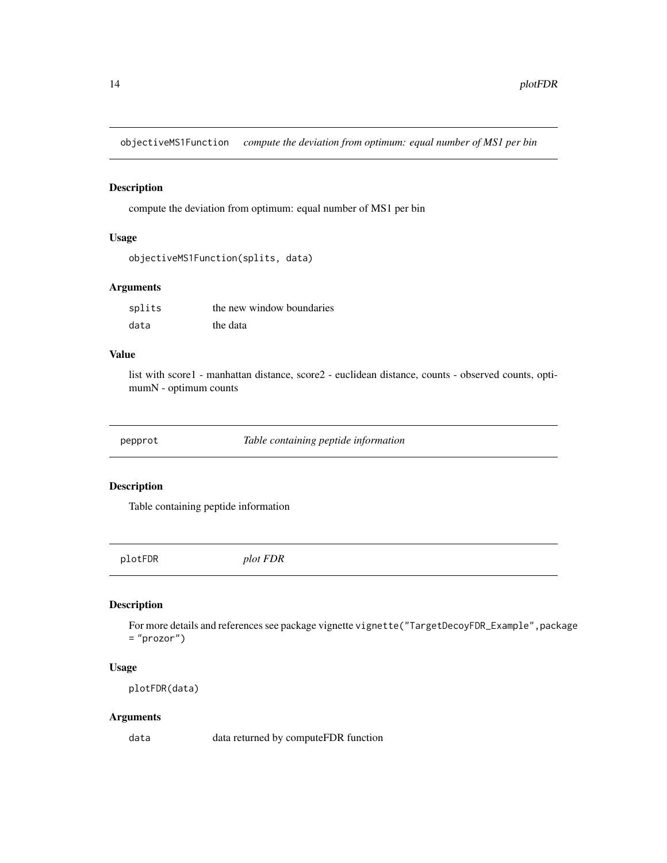<span id="page-13-0"></span>objectiveMS1Function *compute the deviation from optimum: equal number of MS1 per bin*

#### Description

compute the deviation from optimum: equal number of MS1 per bin

#### Usage

```
objectiveMS1Function(splits, data)
```
#### Arguments

| splits | the new window boundaries |
|--------|---------------------------|
| data   | the data                  |

#### Value

list with score1 - manhattan distance, score2 - euclidean distance, counts - observed counts, optimumN - optimum counts

pepprot *Table containing peptide information*

#### Description

Table containing peptide information

plotFDR *plot FDR*

#### Description

For more details and references see package vignette vignette ("TargetDecoyFDR\_Example", package = "prozor")

#### Usage

plotFDR(data)

#### Arguments

data data returned by computeFDR function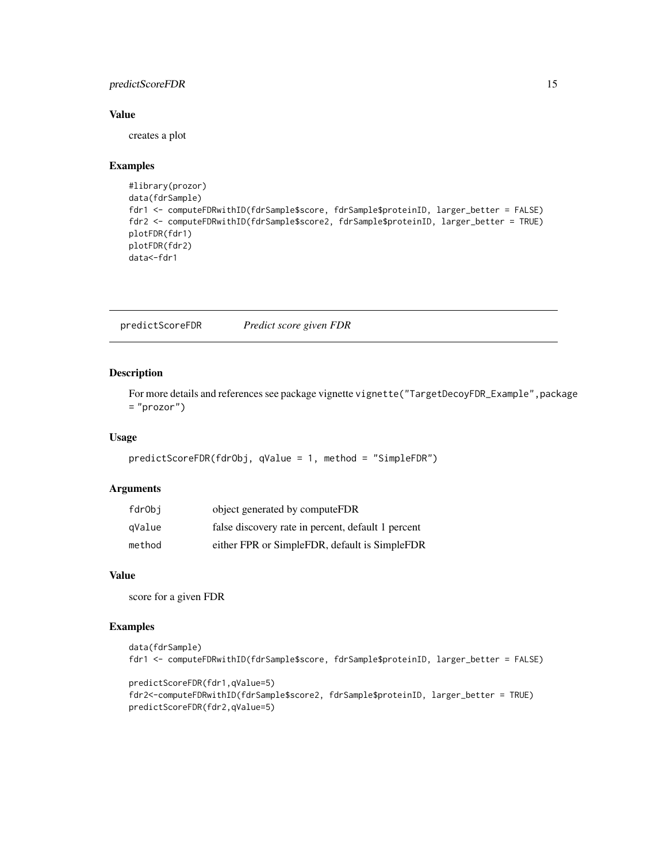#### <span id="page-14-0"></span>predictScoreFDR 15

#### Value

creates a plot

#### Examples

```
#library(prozor)
data(fdrSample)
fdr1 <- computeFDRwithID(fdrSample$score, fdrSample$proteinID, larger_better = FALSE)
fdr2 <- computeFDRwithID(fdrSample$score2, fdrSample$proteinID, larger_better = TRUE)
plotFDR(fdr1)
plotFDR(fdr2)
data<-fdr1
```
predictScoreFDR *Predict score given FDR*

#### Description

For more details and references see package vignette vignette ("TargetDecoyFDR\_Example", package = "prozor")

#### Usage

```
predictScoreFDR(fdrObj, qValue = 1, method = "SimpleFDR")
```
#### Arguments

| fdrObi | object generated by computeFDR                     |
|--------|----------------------------------------------------|
| qValue | false discovery rate in percent, default 1 percent |
| method | either FPR or SimpleFDR, default is SimpleFDR      |

#### Value

score for a given FDR

```
data(fdrSample)
fdr1 <- computeFDRwithID(fdrSample$score, fdrSample$proteinID, larger_better = FALSE)
```

```
predictScoreFDR(fdr1,qValue=5)
fdr2<-computeFDRwithID(fdrSample$score2, fdrSample$proteinID, larger_better = TRUE)
predictScoreFDR(fdr2,qValue=5)
```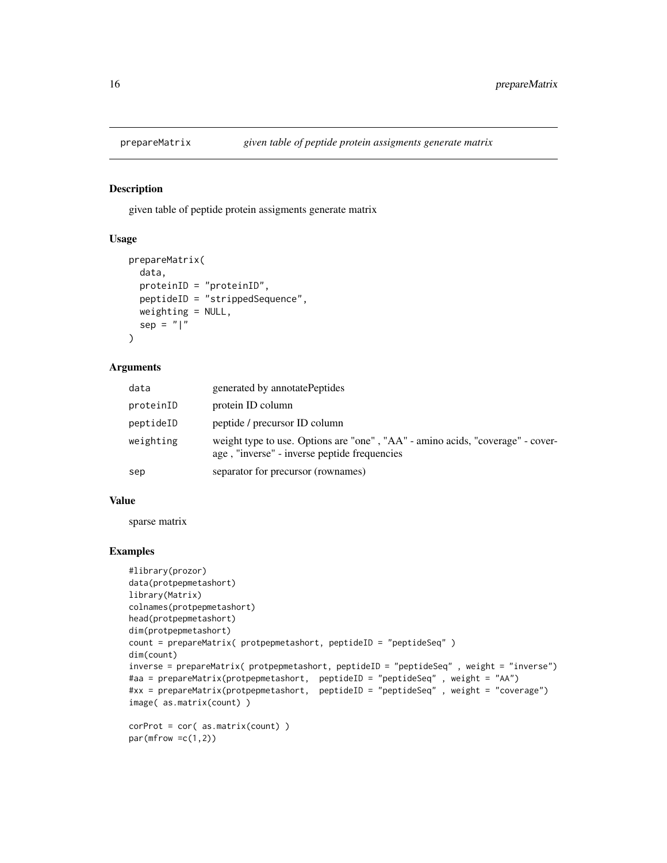<span id="page-15-0"></span>

#### Description

given table of peptide protein assigments generate matrix

#### Usage

```
prepareMatrix(
  data,
  proteinID = "proteinID",
  peptideID = "strippedSequence",
 weighting = NULL,
  sep = "|")
```
#### Arguments

| data      | generated by annotatePeptides                                                                                                  |
|-----------|--------------------------------------------------------------------------------------------------------------------------------|
| proteinID | protein ID column                                                                                                              |
| peptideID | peptide / precursor ID column                                                                                                  |
| weighting | weight type to use. Options are "one", "AA" - amino acids, "coverage" - cover-<br>age, "inverse" - inverse peptide frequencies |
| sep       | separator for precursor (rownames)                                                                                             |

#### Value

sparse matrix

```
#library(prozor)
data(protpepmetashort)
library(Matrix)
colnames(protpepmetashort)
head(protpepmetashort)
dim(protpepmetashort)
count = prepareMatrix( protpepmetashort, peptideID = "peptideSeq" )
dim(count)
inverse = prepareMatrix( protpepmetashort, peptideID = "peptideSeq" , weight = "inverse")
#aa = prepareMatrix(protpepmetashort, peptideID = "peptideSeq" , weight = "AA")
#xx = prepareMatrix(protpepmetashort, peptideID = "peptideSeq" , weight = "coverage")
image( as.matrix(count) )
corProt = cor( as.matrix(count) )
```

```
par(mfrow =c(1,2))
```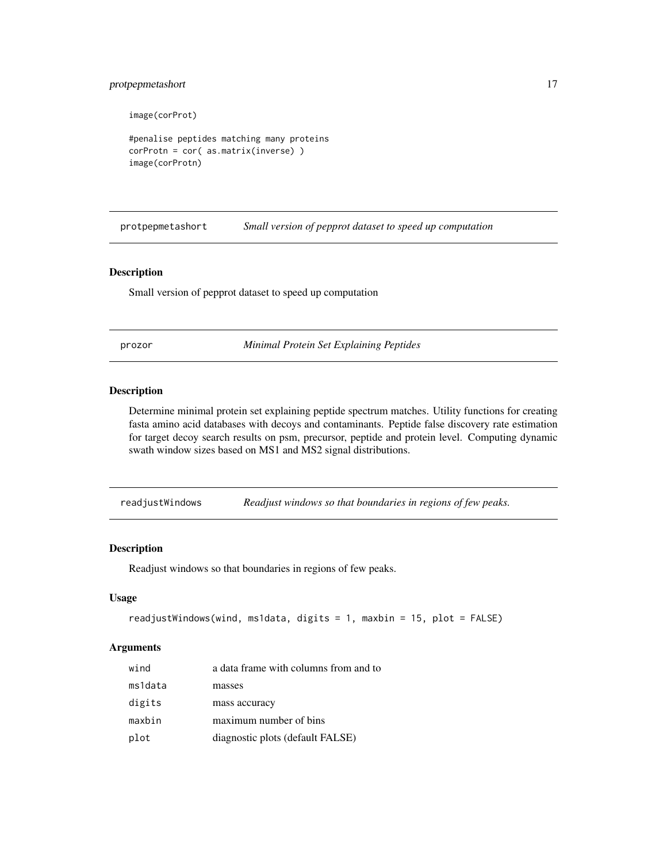#### <span id="page-16-0"></span>protpepmetashort 17

image(corProt)

#penalise peptides matching many proteins corProtn = cor( as.matrix(inverse) ) image(corProtn)

protpepmetashort *Small version of pepprot dataset to speed up computation*

#### Description

Small version of pepprot dataset to speed up computation

prozor *Minimal Protein Set Explaining Peptides*

#### Description

Determine minimal protein set explaining peptide spectrum matches. Utility functions for creating fasta amino acid databases with decoys and contaminants. Peptide false discovery rate estimation for target decoy search results on psm, precursor, peptide and protein level. Computing dynamic swath window sizes based on MS1 and MS2 signal distributions.

readjustWindows *Readjust windows so that boundaries in regions of few peaks.*

#### Description

Readjust windows so that boundaries in regions of few peaks.

#### Usage

```
readjustWindows(wind, ms1data, digits = 1, maxbin = 15, plot = FALSE)
```
#### Arguments

| wind    | a data frame with columns from and to |
|---------|---------------------------------------|
| ms1data | masses                                |
| digits  | mass accuracy                         |
| maxbin  | maximum number of bins                |
| plot    | diagnostic plots (default FALSE)      |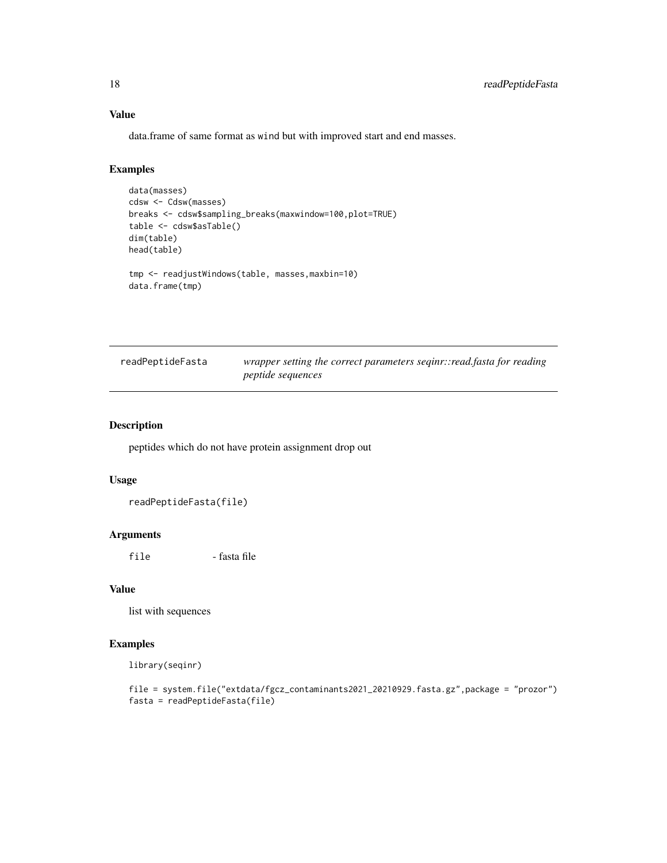#### Value

data.frame of same format as wind but with improved start and end masses.

#### Examples

data.frame(tmp)

```
data(masses)
cdsw <- Cdsw(masses)
breaks <- cdsw$sampling_breaks(maxwindow=100,plot=TRUE)
table <- cdsw$asTable()
dim(table)
head(table)
tmp <- readjustWindows(table, masses,maxbin=10)
```

```
readPeptideFasta wrapper setting the correct parameters seqinr::read.fasta for reading
                         peptide sequences
```
#### Description

peptides which do not have protein assignment drop out

#### Usage

readPeptideFasta(file)

#### Arguments

file - fasta file

#### Value

list with sequences

```
library(seqinr)
```

```
file = system.file("extdata/fgcz_contaminants2021_20210929.fasta.gz",package = "prozor")
fasta = readPeptideFasta(file)
```
<span id="page-17-0"></span>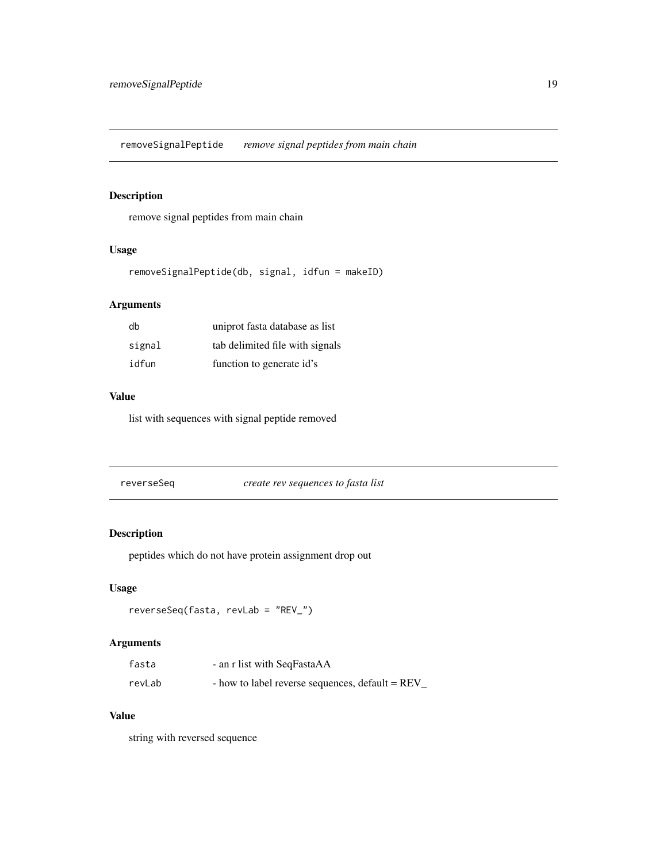<span id="page-18-0"></span>removeSignalPeptide *remove signal peptides from main chain*

#### Description

remove signal peptides from main chain

#### Usage

removeSignalPeptide(db, signal, idfun = makeID)

#### Arguments

| db     | uniprot fasta database as list  |
|--------|---------------------------------|
| signal | tab delimited file with signals |
| idfun  | function to generate id's       |

#### Value

list with sequences with signal peptide removed

reverseSeq *create rev sequences to fasta list*

#### Description

peptides which do not have protein assignment drop out

#### Usage

```
reverseSeq(fasta, revLab = "REV_")
```
#### Arguments

| fasta  | - an r list with SeqFastaAA                      |
|--------|--------------------------------------------------|
| revLab | - how to label reverse sequences, default = REV_ |

#### Value

string with reversed sequence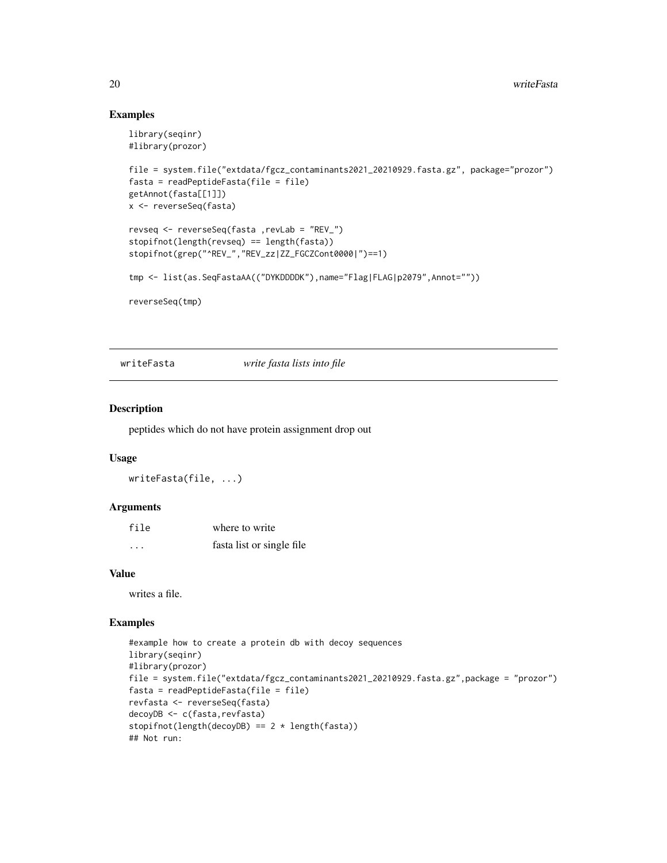#### Examples

```
library(seqinr)
#library(prozor)
file = system.file("extdata/fgcz_contaminants2021_20210929.fasta.gz", package="prozor")
fasta = readPeptideFasta(file = file)
getAnnot(fasta[[1]])
x <- reverseSeq(fasta)
revseq <- reverseSeq(fasta ,revLab = "REV_")
stopifnot(length(revseq) == length(fasta))
stopifnot(grep("^REV_","REV_zz|ZZ_FGCZCont0000|")==1)
tmp <- list(as.SeqFastaAA(("DYKDDDDK"),name="Flag|FLAG|p2079",Annot=""))
reverseSeq(tmp)
```
writeFasta *write fasta lists into file*

#### Description

peptides which do not have protein assignment drop out

#### Usage

```
writeFasta(file, ...)
```
#### Arguments

| file     | where to write            |
|----------|---------------------------|
| $\cdots$ | fasta list or single file |

#### Value

writes a file.

```
#example how to create a protein db with decoy sequences
library(seqinr)
#library(prozor)
file = system.file("extdata/fgcz_contaminants2021_20210929.fasta.gz",package = "prozor")
fasta = readPeptideFasta(file = file)
revfasta <- reverseSeq(fasta)
decoyDB <- c(fasta,revfasta)
stopifnot(length(decoyDB) == 2 * length(fasta))
## Not run:
```
<span id="page-19-0"></span>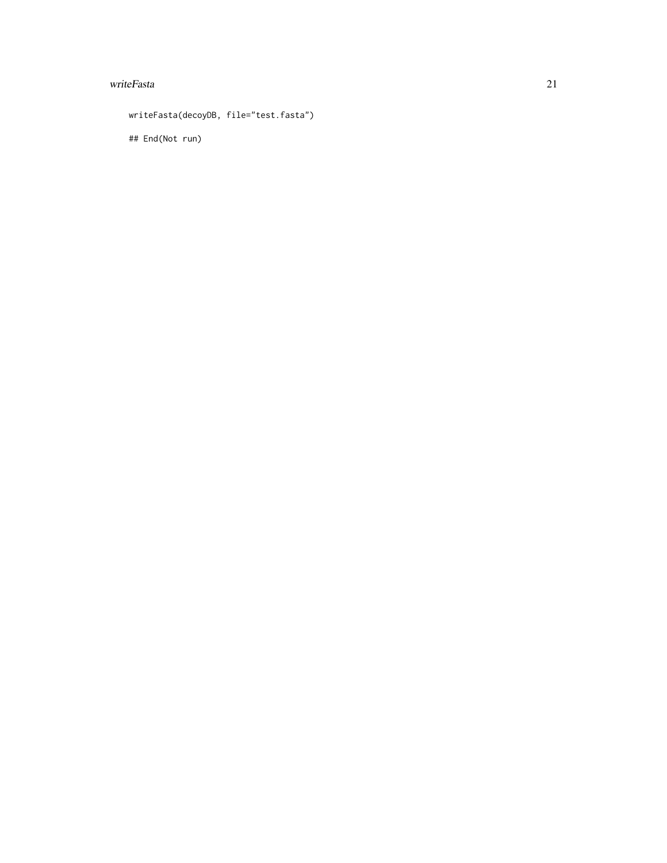#### writeFasta 21

writeFasta(decoyDB, file="test.fasta")

## End(Not run)